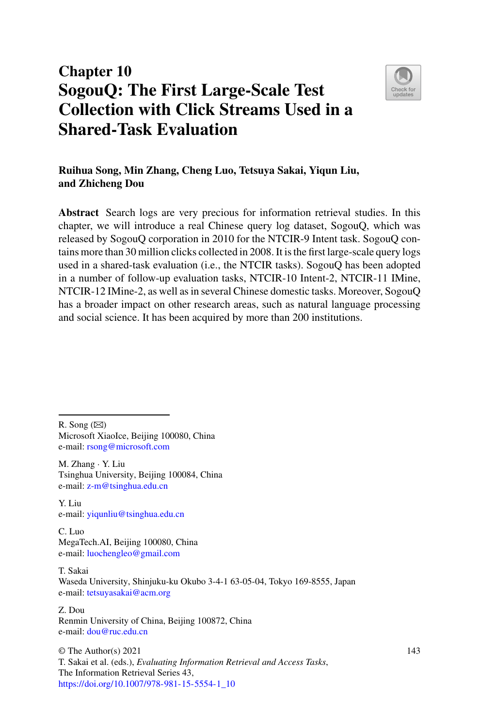# **Chapter 10 SogouQ: The First Large-Scale Test Collection with Click Streams Used in a Shared-Task Evaluation**



## **Ruihua Song, Min Zhang, Cheng Luo, Tetsuya Sakai, Yiqun Liu, and Zhicheng Dou**

**Abstract** Search logs are very precious for information retrieval studies. In this chapter, we will introduce a real Chinese query log dataset, SogouQ, which was released by SogouQ corporation in 2010 for the NTCIR-9 Intent task. SogouQ contains more than 30 million clicks collected in 2008. It is the first large-scale query logs used in a shared-task evaluation (i.e., the NTCIR tasks). SogouQ has been adopted in a number of follow-up evaluation tasks, NTCIR-10 Intent-2, NTCIR-11 IMine, NTCIR-12 IMine-2, as well as in several Chinese domestic tasks. Moreover, SogouQ has a broader impact on other research areas, such as natural language processing and social science. It has been acquired by more than 200 institutions.

R. Song  $(\boxtimes)$ Microsoft XiaoIce, Beijing 100080, China e-mail: [rsong@microsoft.com](mailto:rsong@microsoft.com)

M. Zhang · Y. Liu Tsinghua University, Beijing 100084, China e-mail: [z-m@tsinghua.edu.cn](mailto:z-m@tsinghua.edu.cn)

Y. Liu e-mail: [yiqunliu@tsinghua.edu.cn](mailto:yiqunliu@tsinghua.edu.cn)

C. Luo MegaTech.AI, Beijing 100080, China e-mail: [luochengleo@gmail.com](mailto:luochengleo@gmail.com)

T. Sakai Waseda University, Shinjuku-ku Okubo 3-4-1 63-05-04, Tokyo 169-8555, Japan e-mail: [tetsuyasakai@acm.org](mailto:tetsuyasakai@acm.org)

Z. Dou Renmin University of China, Beijing 100872, China e-mail: [dou@ruc.edu.cn](mailto:dou@ruc.edu.cn)

© The Author(s) 2021 T. Sakai et al. (eds.), *Evaluating Information Retrieval and Access Tasks*, The Information Retrieval Series 43, [https://doi.org/10.1007/978-981-15-5554-1\\_10](https://doi.org/10.1007/978-981-15-5554-1_10)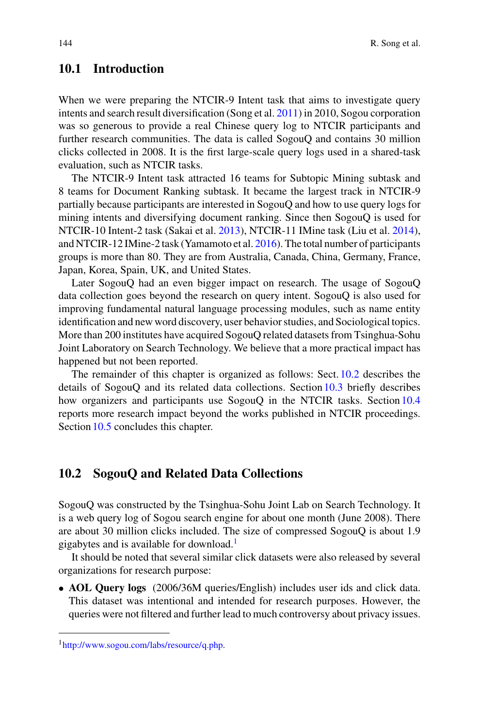## **10.1 Introduction**

When we were preparing the NTCIR-9 Intent task that aims to investigate query intents and search result diversification (Song et al[.](#page-6-0) [2011](#page-6-0)) in 2010, Sogou corporation was so generous to provide a real Chinese query log to NTCIR participants and further research communities. The data is called SogouQ and contains 30 million clicks collected in 2008. It is the first large-scale query logs used in a shared-task evaluation, such as NTCIR tasks.

The NTCIR-9 Intent task attracted 16 teams for Subtopic Mining subtask and 8 teams for Document Ranking subtask. It became the largest track in NTCIR-9 partially because participants are interested in SogouQ and how to use query logs for mining intents and diversifying document ranking. Since then SogouQ is used for NTCIR-10 Intent-2 task (Sakai et al[.](#page-6-1) [2013](#page-6-1)), NTCIR-11 IMine task (Liu et al[.](#page-6-2) [2014](#page-6-2)), and NTCIR-12 IMine-2 task (Yamamoto et al[.](#page-7-0) [2016\)](#page-7-0). The total number of participants groups is more than 80. They are from Australia, Canada, China, Germany, France, Japan, Korea, Spain, UK, and United States.

Later SogouQ had an even bigger impact on research. The usage of SogouQ data collection goes beyond the research on query intent. SogouQ is also used for improving fundamental natural language processing modules, such as name entity identification and new word discovery, user behavior studies, and Sociological topics. More than 200 institutes have acquired SogouQ related datasets from Tsinghua-Sohu Joint Laboratory on Search Technology. We believe that a more practical impact has happened but not been reported.

The remainder of this chapter is organized as follows: Sect. [10.2](#page-1-0) describes the details of SogouQ and its related data collections. Section [10.3](#page-2-0) briefly describes how organizers and participants use SogouQ in the NTCIR tasks. Section [10.4](#page-4-0) reports more research impact beyond the works published in NTCIR proceedings. Section [10.5](#page-5-0) concludes this chapter.

#### <span id="page-1-0"></span>**10.2 SogouQ and Related Data Collections**

SogouQ was constructed by the Tsinghua-Sohu Joint Lab on Search Technology. It is a web query log of Sogou search engine for about one month (June 2008). There are about 30 million clicks included. The size of compressed SogouQ is about 1.9 gigabytes and is available for download.<sup>1</sup>

It should be noted that several similar click datasets were also released by several organizations for research purpose:

• **AOL Query logs** (2006/36M queries/English) includes user ids and click data. This dataset was intentional and intended for research purposes. However, the queries were not filtered and further lead to much controversy about privacy issues.

<span id="page-1-1"></span>[<sup>1</sup>http://www.sogou.com/labs/resource/q.php.](http://www.sogou.com/labs/resource/q.php)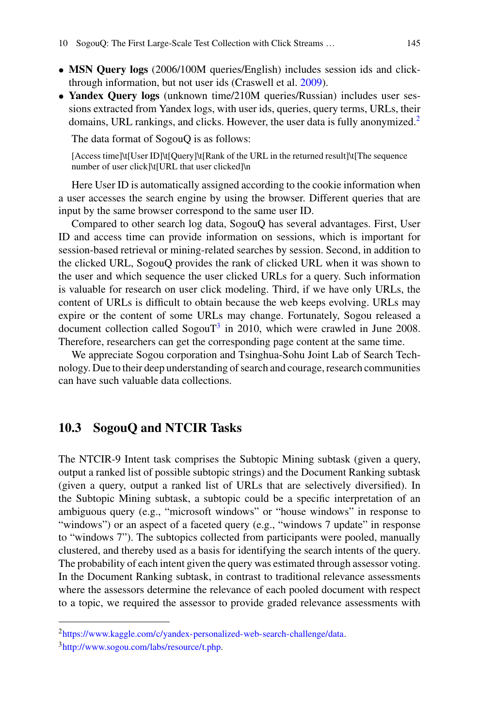- **MSN Query logs** (2006/100M queries/English) includes session ids and clickthrough information, but not user ids (Craswell et al[.](#page-6-3) [2009\)](#page-6-3).
- **Yandex Query logs** (unknown time/210M queries/Russian) includes user sessions extracted from Yandex logs, with user ids, queries, query terms, URLs, their domains, URL rankings, and clicks. However, the user data is fully anonymized.<sup>2</sup>

The data format of SogouQ is as follows:

[Access time]\t[User ID]\t[Query]\t[Rank of the URL in the returned result]\t[The sequence number of user click]\t[URL that user clicked]\n

Here User ID is automatically assigned according to the cookie information when a user accesses the search engine by using the browser. Different queries that are input by the same browser correspond to the same user ID.

Compared to other search log data, SogouQ has several advantages. First, User ID and access time can provide information on sessions, which is important for session-based retrieval or mining-related searches by session. Second, in addition to the clicked URL, SogouQ provides the rank of clicked URL when it was shown to the user and which sequence the user clicked URLs for a query. Such information is valuable for research on user click modeling. Third, if we have only URLs, the content of URLs is difficult to obtain because the web keeps evolving. URLs may expire or the content of some URLs may change. Fortunately, Sogou released a document collection called  $SogouT<sup>3</sup>$  $SogouT<sup>3</sup>$  $SogouT<sup>3</sup>$  in 2010, which were crawled in June 2008. Therefore, researchers can get the corresponding page content at the same time.

We appreciate Sogou corporation and Tsinghua-Sohu Joint Lab of Search Technology. Due to their deep understanding of search and courage, research communities can have such valuable data collections.

### <span id="page-2-0"></span>**10.3 SogouQ and NTCIR Tasks**

The NTCIR-9 Intent task comprises the Subtopic Mining subtask (given a query, output a ranked list of possible subtopic strings) and the Document Ranking subtask (given a query, output a ranked list of URLs that are selectively diversified). In the Subtopic Mining subtask, a subtopic could be a specific interpretation of an ambiguous query (e.g., "microsoft windows" or "house windows" in response to "windows") or an aspect of a faceted query (e.g., "windows 7 update" in response to "windows 7"). The subtopics collected from participants were pooled, manually clustered, and thereby used as a basis for identifying the search intents of the query. The probability of each intent given the query was estimated through assessor voting. In the Document Ranking subtask, in contrast to traditional relevance assessments where the assessors determine the relevance of each pooled document with respect to a topic, we required the assessor to provide graded relevance assessments with

<span id="page-2-2"></span><span id="page-2-1"></span>[<sup>2</sup>https://www.kaggle.com/c/yandex-personalized-web-search-challenge/data.](https://www.kaggle.com/c/yandex-personalized-web-search-challenge/data) [3http://www.sogou.com/labs/resource/t.php.](http://www.sogou.com/labs/resource/t.php)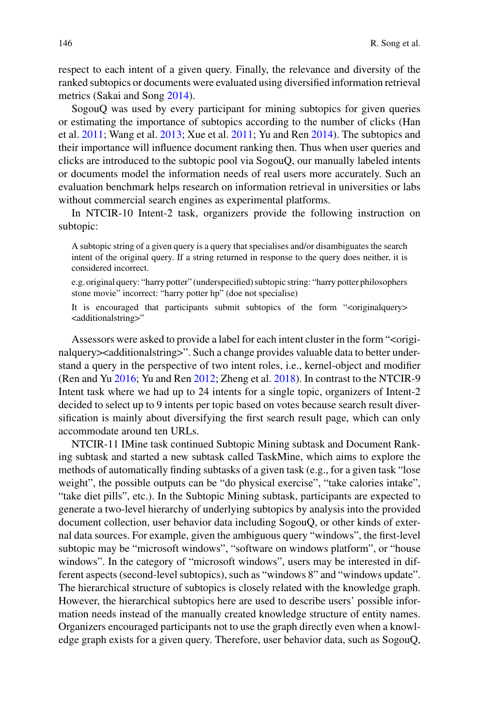respect to each intent of a given query. Finally, the relevance and diversity of the ranked subtopics or documents were evaluated using diversified information retrieval metrics (Sakai and Son[g](#page-6-4) [2014](#page-6-4)).

SogouQ was used by every participant for mining subtopics for given queries or estimating the importance of subtopics according to the number of clicks (Han et al[.](#page-6-5) [2011;](#page-6-5) Wang et al[.](#page-6-6) [2013;](#page-6-6) Xue et al[.](#page-7-1) [2011;](#page-7-1) Yu and Re[n](#page-7-2) [2014](#page-7-2)). The subtopics and their importance will influence document ranking then. Thus when user queries and clicks are introduced to the subtopic pool via SogouQ, our manually labeled intents or documents model the information needs of real users more accurately. Such an evaluation benchmark helps research on information retrieval in universities or labs without commercial search engines as experimental platforms.

In NTCIR-10 Intent-2 task, organizers provide the following instruction on subtopic:

A subtopic string of a given query is a query that specialises and/or disambiguates the search intent of the original query. If a string returned in response to the query does neither, it is considered incorrect.

e.g. original query: "harry potter" (underspecified) subtopic string: "harry potter philosophers stone movie" incorrect: "harry potter hp" (doe not specialise)

It is encouraged that participants submit subtopics of the form "coriginal query <additionalstring>"

Assessors were asked to provide a label for each intent cluster in the form "<originalquery><additionalstring>". Such a change provides valuable data to better understand a query in the perspective of two intent roles, i.e., kernel-object and modifier (Ren and Y[u](#page-6-7) [2016;](#page-6-7) Yu and Re[n](#page-7-3) [2012](#page-7-3); Zheng et al[.](#page-7-4) [2018\)](#page-7-4). In contrast to the NTCIR-9 Intent task where we had up to 24 intents for a single topic, organizers of Intent-2 decided to select up to 9 intents per topic based on votes because search result diversification is mainly about diversifying the first search result page, which can only accommodate around ten URLs.

NTCIR-11 IMine task continued Subtopic Mining subtask and Document Ranking subtask and started a new subtask called TaskMine, which aims to explore the methods of automatically finding subtasks of a given task (e.g., for a given task "lose weight", the possible outputs can be "do physical exercise", "take calories intake", "take diet pills", etc.). In the Subtopic Mining subtask, participants are expected to generate a two-level hierarchy of underlying subtopics by analysis into the provided document collection, user behavior data including SogouQ, or other kinds of external data sources. For example, given the ambiguous query "windows", the first-level subtopic may be "microsoft windows", "software on windows platform", or "house windows". In the category of "microsoft windows", users may be interested in different aspects (second-level subtopics), such as "windows 8" and "windows update". The hierarchical structure of subtopics is closely related with the knowledge graph. However, the hierarchical subtopics here are used to describe users' possible information needs instead of the manually created knowledge structure of entity names. Organizers encouraged participants not to use the graph directly even when a knowledge graph exists for a given query. Therefore, user behavior data, such as SogouQ,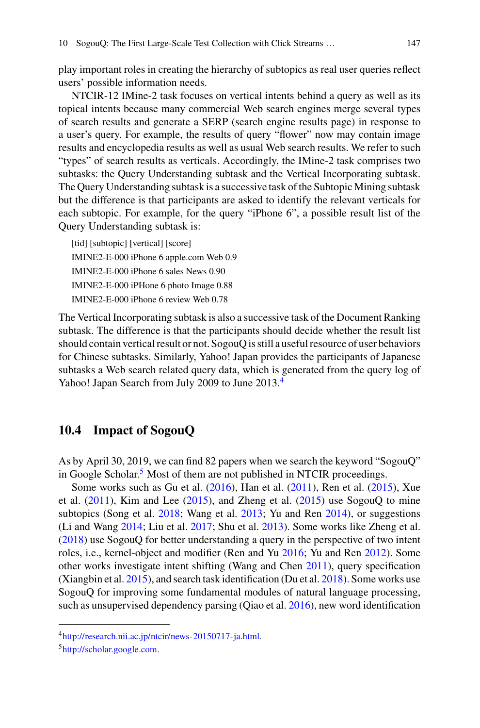play important roles in creating the hierarchy of subtopics as real user queries reflect users' possible information needs.

NTCIR-12 IMine-2 task focuses on vertical intents behind a query as well as its topical intents because many commercial Web search engines merge several types of search results and generate a SERP (search engine results page) in response to a user's query. For example, the results of query "flower" now may contain image results and encyclopedia results as well as usual Web search results. We refer to such "types" of search results as verticals. Accordingly, the IMine-2 task comprises two subtasks: the Query Understanding subtask and the Vertical Incorporating subtask. The Query Understanding subtask is a successive task of the Subtopic Mining subtask but the difference is that participants are asked to identify the relevant verticals for each subtopic. For example, for the query "iPhone 6", a possible result list of the Query Understanding subtask is:

[tid] [subtopic] [vertical] [score] IMINE2-E-000 iPhone 6 apple.com Web 0.9 IMINE2-E-000 iPhone 6 sales News 0.90 IMINE2-E-000 iPHone 6 photo Image 0.88 IMINE2-E-000 iPhone 6 review Web 0.78

The Vertical Incorporating subtask is also a successive task of the Document Ranking subtask. The difference is that the participants should decide whether the result list should contain vertical result or not. SogouQ is still a useful resource of user behaviors for Chinese subtasks. Similarly, Yahoo! Japan provides the participants of Japanese subtasks a Web search related query data, which is generated from the query log of Yahoo! Japan Search from July 2009 to June 2013.<sup>4</sup>

## <span id="page-4-0"></span>**10.4 Impact of SogouQ**

As by April 30, 2019, we can find 82 papers when we search the keyword "SogouQ" in Google Scholar.<sup>5</sup> Most of them are not published in NTCIR proceedings.

Some works such as Gu et al[.](#page-6-8) [\(2016\)](#page-6-8), Han et al[.](#page-6-5) [\(2011](#page-6-5)), Ren et al[.](#page-6-9) [\(2015\)](#page-6-9), Xue et al[.](#page-7-5)  $(2011)$ , Kim and L[e](#page-6-10)e  $(2015)$ , and Zheng et al.  $(2015)$  $(2015)$  use SogouQ to mine subtopics (Song et al[.](#page-6-11) [2018;](#page-6-11) Wang et al[.](#page-6-6) [2013;](#page-6-6) Yu and Re[n](#page-7-2) [2014](#page-7-2)), or suggestions (Li and Wan[g](#page-6-12) [2014;](#page-6-12) Liu et al[.](#page-6-13) [2017](#page-6-13); Shu et al[.](#page-6-14) [2013\)](#page-6-14). Some works like Zheng et al[.](#page-7-4) [\(2018\)](#page-7-4) use SogouQ for better understanding a query in the perspective of two intent roles, i.e., kernel-object and modifier (Ren and Y[u](#page-6-7) [2016](#page-6-7); Yu and Re[n](#page-7-3) [2012\)](#page-7-3). Some other works investigate intent shifting (Wang and Che[n](#page-6-15) [2011](#page-6-15)), query specification (Xiangbin et al[.](#page-7-6) [2015](#page-7-6)), and search task identification (Du et al[.](#page-6-16) [2018](#page-6-16)). Some works use SogouQ for improving some fundamental modules of natural language processing, such as unsupervised dependency parsing (Qiao et al[.](#page-6-17) [2016](#page-6-17)), new word identification

<span id="page-4-1"></span>[<sup>4</sup>http://research.nii.ac.jp/ntcir/news-20150717-ja.html.](http://research.nii.ac.jp/ntcir/news-20150717-ja.html)

<span id="page-4-2"></span>[<sup>5</sup>http://scholar.google.com.](http://scholar.google.com)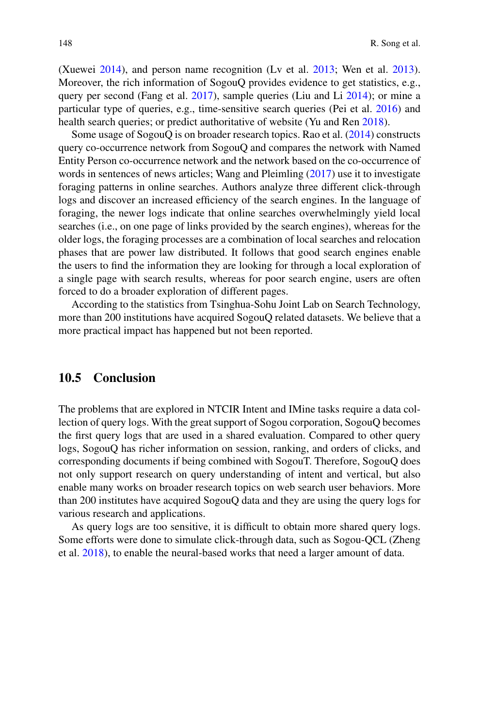(Xuewe[i](#page-7-7) [2014](#page-7-7)), and person name recognition (Lv et al[.](#page-6-18) [2013;](#page-6-18) Wen et al[.](#page-7-8) [2013](#page-7-8)). Moreover, the rich information of SogouQ provides evidence to get statistics, e.g., query per second (Fang et al[.](#page-6-19) [2017](#page-6-19)), sample queries (Liu and L[i](#page-6-20) [2014](#page-6-20)); or mine a particular type of queries, e.g., time-sensitive search queries (Pei et al[.](#page-6-21) [2016](#page-6-21)) and health search queries; or predict authoritative of website (Yu and Re[n](#page-7-9) [2018\)](#page-7-9).

Some usage of SogouQ is on broader research topics. Rao et al[.](#page-6-22) [\(2014](#page-6-22)) constructs query co-occurrence network from SogouQ and compares the network with Named Entity Person co-occurrence network and the network based on the co-occurrence of words in sentences of news articles; Wang and Pleimlin[g](#page-7-10) [\(2017\)](#page-7-10) use it to investigate foraging patterns in online searches. Authors analyze three different click-through logs and discover an increased efficiency of the search engines. In the language of foraging, the newer logs indicate that online searches overwhelmingly yield local searches (i.e., on one page of links provided by the search engines), whereas for the older logs, the foraging processes are a combination of local searches and relocation phases that are power law distributed. It follows that good search engines enable the users to find the information they are looking for through a local exploration of a single page with search results, whereas for poor search engine, users are often forced to do a broader exploration of different pages.

According to the statistics from Tsinghua-Sohu Joint Lab on Search Technology, more than 200 institutions have acquired SogouQ related datasets. We believe that a more practical impact has happened but not been reported.

## <span id="page-5-0"></span>**10.5 Conclusion**

The problems that are explored in NTCIR Intent and IMine tasks require a data collection of query logs. With the great support of Sogou corporation, SogouQ becomes the first query logs that are used in a shared evaluation. Compared to other query logs, SogouQ has richer information on session, ranking, and orders of clicks, and corresponding documents if being combined with SogouT. Therefore, SogouQ does not only support research on query understanding of intent and vertical, but also enable many works on broader research topics on web search user behaviors. More than 200 institutes have acquired SogouQ data and they are using the query logs for various research and applications.

As query logs are too sensitive, it is difficult to obtain more shared query logs. Some efforts were done to simulate click-through data, such as Sogou-QCL (Zheng et al[.](#page-7-11) [2018](#page-7-11)), to enable the neural-based works that need a larger amount of data.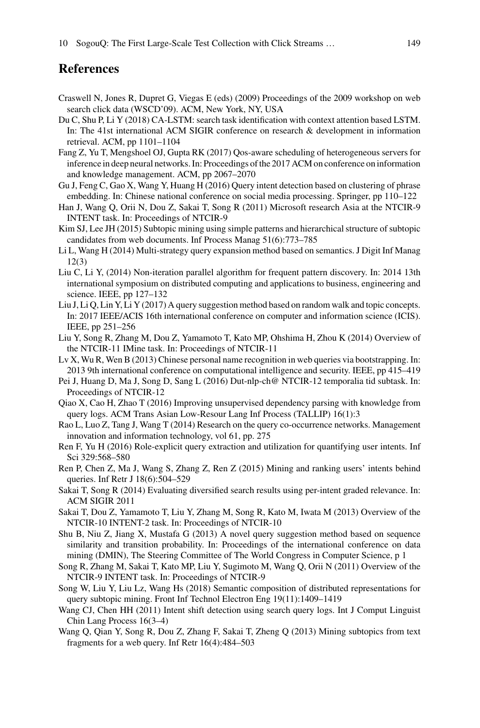### **References**

- <span id="page-6-3"></span>Craswell N, Jones R, Dupret G, Viegas E (eds) (2009) Proceedings of the 2009 workshop on web search click data (WSCD'09). ACM, New York, NY, USA
- <span id="page-6-16"></span>Du C, Shu P, Li Y (2018) CA-LSTM: search task identification with context attention based LSTM. In: The 41st international ACM SIGIR conference on research & development in information retrieval. ACM, pp 1101–1104
- <span id="page-6-19"></span>Fang Z, Yu T, Mengshoel OJ, Gupta RK (2017) Qos-aware scheduling of heterogeneous servers for inference in deep neural networks. In: Proceedings of the 2017 ACM on conference on information and knowledge management. ACM, pp 2067–2070
- <span id="page-6-8"></span>Gu J, Feng C, Gao X, Wang Y, Huang H (2016) Query intent detection based on clustering of phrase embedding. In: Chinese national conference on social media processing. Springer, pp 110–122
- <span id="page-6-5"></span>Han J, Wang Q, Orii N, Dou Z, Sakai T, Song R (2011) Microsoft research Asia at the NTCIR-9 INTENT task. In: Proceedings of NTCIR-9
- <span id="page-6-10"></span>Kim SJ, Lee JH (2015) Subtopic mining using simple patterns and hierarchical structure of subtopic candidates from web documents. Inf Process Manag 51(6):773–785
- <span id="page-6-12"></span>Li L, Wang H (2014) Multi-strategy query expansion method based on semantics. J Digit Inf Manag 12(3)
- <span id="page-6-20"></span>Liu C, Li Y, (2014) Non-iteration parallel algorithm for frequent pattern discovery. In: 2014 13th international symposium on distributed computing and applications to business, engineering and science. IEEE, pp 127–132
- <span id="page-6-13"></span>Liu J, Li Q, Lin Y, Li Y (2017) A query suggestion method based on random walk and topic concepts. In: 2017 IEEE/ACIS 16th international conference on computer and information science (ICIS). IEEE, pp 251–256
- <span id="page-6-2"></span>Liu Y, Song R, Zhang M, Dou Z, Yamamoto T, Kato MP, Ohshima H, Zhou K (2014) Overview of the NTCIR-11 IMine task. In: Proceedings of NTCIR-11
- <span id="page-6-18"></span>Lv X, Wu R, Wen B (2013) Chinese personal name recognition in web queries via bootstrapping. In: 2013 9th international conference on computational intelligence and security. IEEE, pp 415–419
- <span id="page-6-21"></span>Pei J, Huang D, Ma J, Song D, Sang L (2016) Dut-nlp-ch@ NTCIR-12 temporalia tid subtask. In: Proceedings of NTCIR-12
- <span id="page-6-17"></span>Qiao X, Cao H, Zhao T (2016) Improving unsupervised dependency parsing with knowledge from query logs. ACM Trans Asian Low-Resour Lang Inf Process (TALLIP) 16(1):3
- <span id="page-6-22"></span>Rao L, Luo Z, Tang J, Wang T (2014) Research on the query co-occurrence networks. Management innovation and information technology, vol 61, pp. 275
- <span id="page-6-7"></span>Ren F, Yu H (2016) Role-explicit query extraction and utilization for quantifying user intents. Inf Sci 329:568–580
- <span id="page-6-9"></span>Ren P, Chen Z, Ma J, Wang S, Zhang Z, Ren Z (2015) Mining and ranking users' intents behind queries. Inf Retr J 18(6):504–529
- <span id="page-6-4"></span>Sakai T, Song R (2014) Evaluating diversified search results using per-intent graded relevance. In: ACM SIGIR 2011
- <span id="page-6-1"></span>Sakai T, Dou Z, Yamamoto T, Liu Y, Zhang M, Song R, Kato M, Iwata M (2013) Overview of the NTCIR-10 INTENT-2 task. In: Proceedings of NTCIR-10
- <span id="page-6-14"></span>Shu B, Niu Z, Jiang X, Mustafa G (2013) A novel query suggestion method based on sequence similarity and transition probability. In: Proceedings of the international conference on data mining (DMIN), The Steering Committee of The World Congress in Computer Science, p 1
- <span id="page-6-0"></span>Song R, Zhang M, Sakai T, Kato MP, Liu Y, Sugimoto M, Wang Q, Orii N (2011) Overview of the NTCIR-9 INTENT task. In: Proceedings of NTCIR-9
- <span id="page-6-11"></span>Song W, Liu Y, Liu Lz, Wang Hs (2018) Semantic composition of distributed representations for query subtopic mining. Front Inf Technol Electron Eng 19(11):1409–1419
- <span id="page-6-15"></span>Wang CJ, Chen HH (2011) Intent shift detection using search query logs. Int J Comput Linguist Chin Lang Process 16(3–4)
- <span id="page-6-6"></span>Wang Q, Qian Y, Song R, Dou Z, Zhang F, Sakai T, Zheng Q (2013) Mining subtopics from text fragments for a web query. Inf Retr 16(4):484–503